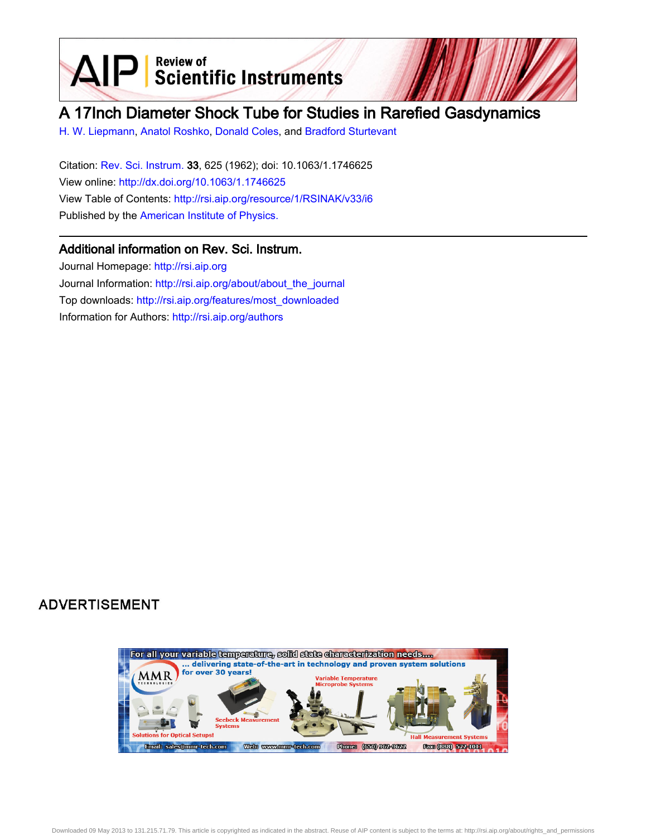$\text{AIP}$  Scientific Instruments

# A 17Inch Diameter Shock Tube for Studies in Rarefied Gasdynamics

[H. W. Liepmann,](http://rsi.aip.org/search?sortby=newestdate&q=&searchzone=2&searchtype=searchin&faceted=faceted&key=AIP_ALL&possible1=H. W. Liepmann&possible1zone=author&alias=&displayid=AIP&ver=pdfcov) [Anatol Roshko](http://rsi.aip.org/search?sortby=newestdate&q=&searchzone=2&searchtype=searchin&faceted=faceted&key=AIP_ALL&possible1=Anatol Roshko&possible1zone=author&alias=&displayid=AIP&ver=pdfcov), [Donald Coles,](http://rsi.aip.org/search?sortby=newestdate&q=&searchzone=2&searchtype=searchin&faceted=faceted&key=AIP_ALL&possible1=Donald Coles&possible1zone=author&alias=&displayid=AIP&ver=pdfcov) and [Bradford Sturtevant](http://rsi.aip.org/search?sortby=newestdate&q=&searchzone=2&searchtype=searchin&faceted=faceted&key=AIP_ALL&possible1=Bradford Sturtevant&possible1zone=author&alias=&displayid=AIP&ver=pdfcov)

Citation: [Rev. Sci. Instrum.](http://rsi.aip.org?ver=pdfcov) 33, 625 (1962); doi: 10.1063/1.1746625 View online: [http://dx.doi.org/10.1063/1.1746625](http://link.aip.org/link/doi/10.1063/1.1746625?ver=pdfcov) View Table of Contents: [http://rsi.aip.org/resource/1/RSINAK/v33/i6](http://rsi.aip.org/resource/1/RSINAK/v33/i6?ver=pdfcov) Published by the [American Institute of Physics.](http://www.aip.org/?ver=pdfcov)

## Additional information on Rev. Sci. Instrum.

Journal Homepage: [http://rsi.aip.org](http://rsi.aip.org?ver=pdfcov) Journal Information: [http://rsi.aip.org/about/about\\_the\\_journal](http://rsi.aip.org/about/about_the_journal?ver=pdfcov) Top downloads: [http://rsi.aip.org/features/most\\_downloaded](http://rsi.aip.org/features/most_downloaded?ver=pdfcov) Information for Authors: [http://rsi.aip.org/authors](http://rsi.aip.org/authors?ver=pdfcov)

# **ADVERTISEMENT**

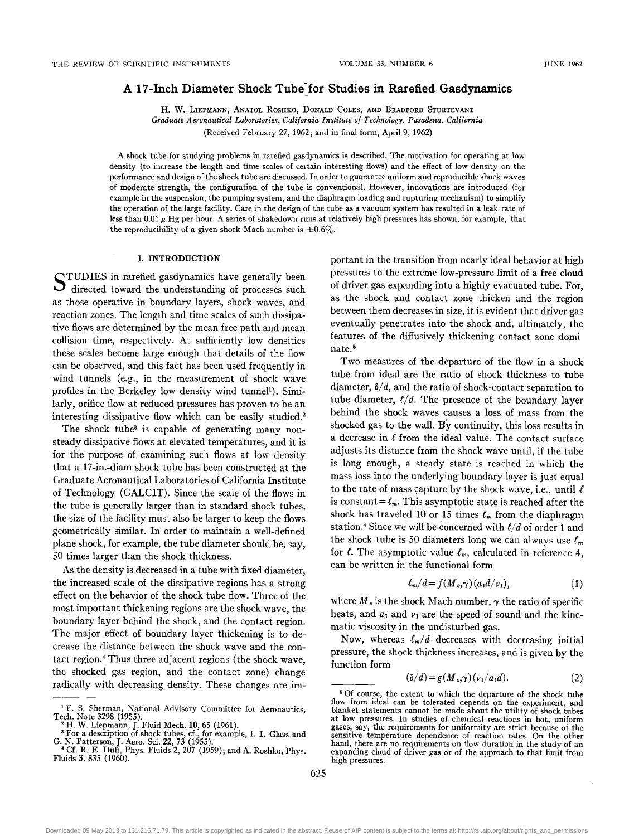### A 17-Inch Diameter Shock Tube for Studies in Rarefied Gasdynamics

H. W. LIEPMANN, ANATOL ROSHKo, DONALD COLES, AND BRADFORD STURTEVANT *Graduate Aeronautical Laboratories, California Institute of Technology, Pasadena, California*  (Received February 27,1962; and in final form, April 9, 1962)

A shock tube for studying problems in rarefied gasdynamics is described. The motivation for operating at low density (to increase the length and time scales of certain interesting flows) and the effect of low density on the performance and design of the shock tube are discussed. In order to guarantee uniform and reproducible shock waves of moderate strength, the configuration of the tube is conventional. However, innovations are introduced (for example in the suspension, the pumping system, and the diaphragm loading and rupturing mechanism) to simplify the operation of the large facility. Care in the design of the tube as a vacuum system has resulted in a leak rate of less than 0.01  $\mu$  Hg per hour. A series of shakedown runs at relatively high pressures has shown, for example, that the reproducibility of a given shock Mach number is  $\pm 0.6\%$ .

#### 1. INTRODUCTION

STUDIES in rarefied gasdynamics have generally been  $\overline{u}$  directed toward the understanding of processes such as those operative in boundary layers, shock waves, and reaction zones. The length and time scales of such dissipative flows are determined by the mean free path and mean collision time, respectively. At sufficiently low densities these scales become large enough that details of the flow can be observed, and this fact has been used frequently in wind tunnels (e.g., in the measurement of shock wave profiles in the Berkeley low density wind tunnel<sup>1</sup>). Similarly, orifice flow at reduced pressures has proven to be an interesting dissipative flow which can be easily studied.<sup>2</sup>

The shock tube<sup>3</sup> is capable of generating many nonsteady dissipative flows at elevated temperatures, and it is for the purpose of examining such flows at low density that a 17-in.-diam shock tube has been constructed at the Graduate Aeronautical Laboratories of California Institute of Technology (GALCIT). Since the scale of the flows in the tube is generally larger than in standard shock tubes, the size of the facility must also be larger to keep the flows geometrically similar. In order to maintain a well-defined plane shock, for example, the tube diameter should be, say, 50 times larger than the shock thickness.

As the density is decreased in a tube with fixed diameter, the increased scale of the dissipative regions has a strong effect on the behavior of the shock tube flow. Three of the most important thickening regions are the shock wave, the boundary layer behind the shock, and the contact region. The major effect of boundary layer thickening is to decrease the distance between the shock wave and the contact region.4 Thus three adjacent regions (the shock wave, the shocked gas region, and the contact zone) change radically with decreasing density. These changes are important in the transition from nearly ideal behavior at high pressures to the extreme low-pressure limit of a free cloud of driver gas expanding into a highly evacuated tube. For, as the shock and contact zone thicken and the region between them decreases in size, it is evident that driver gas eventually penetrates into the shock and, ultimately, the features of the diffusively thickening contact zone domi nate.<sup>5</sup>

Two measures of the departure of the flow in a shock tube from ideal are the ratio of shock thickness to tube diameter,  $\delta/d$ , and the ratio of shock-contact separation to tube diameter,  $\ell/d$ . The presence of the boundary layer behind the shock waves causes a loss of mass from the shocked gas to the wall. By continuity, this loss results in a decrease in  $\ell$  from the ideal value. The contact surface adjusts its distance from the shock wave until, if the tube is long enough, a steady state is reached in which the mass loss into the underlying boundary layer is just equal to the rate of mass capture by the shock wave, i.e., until  $\ell$ is constant= $\ell_m$ . This asymptotic state is reached after the shock has traveled 10 or 15 times  $\ell_m$  from the diaphragm station.4 Since we will be concerned with *C/d* of order 1 and the shock tube is 50 diameters long we can always use  $\ell_m$ for  $\ell$ . The asymptotic value  $\ell_m$ , calculated in reference 4, can be written in the functional form

$$
\ell_m/d = f(M_s, \gamma)(a_1 d/\nu_1), \qquad (1)
$$

where  $M_s$  is the shock Mach number,  $\gamma$  the ratio of specific heats, and  $a_1$  and  $v_1$  are the speed of sound and the kinematic viscosity in the undisturbed gas.

Now, whereas  $\ell_m/d$  decreases with decreasing initial pressure, the shock thickness increases, and is given by the function form

$$
(\delta/d) = g(M_{\ast}, \gamma)(\nu_1/a_1d). \tag{2}
$$

<sup>&</sup>lt;sup>1</sup> F. S. Sherman, National Advisory Committee for Aeronautics, Tech. Note 3298 (1955).<br>
<sup>2</sup> H. W. Liepmann, J. Fluid Mech. **10**, 65 (1961).

<sup>&</sup>lt;sup>3</sup> For a description of shock tubes, cf., for example, I. I. Glass and G. N. Patterson, J. Aero. Sci. 22, 73 (1955).<br><sup>4</sup> Cf. R. E. Duff, Phys. Fluids 2, 207 (1959); and A. Roshko, Phys.

Fluids 3, 835 (1960).

<sup>&</sup>lt;sup>5</sup> Of course, the extent to which the departure of the shock tube flow from ideal can be tolerated depends on the experiment, and blanket statements cannot be made about the utility of shock tubes at low pressures. In studies of chemical reactions in hot, uniform gases, say, the requirements for uniformity are strict because of the sensitive temperature dependence of reaction rates. On the other hand, there are no requirements on flow duration in the study of an expanding cloud of driver gas or of the approach to that limit from high pressures.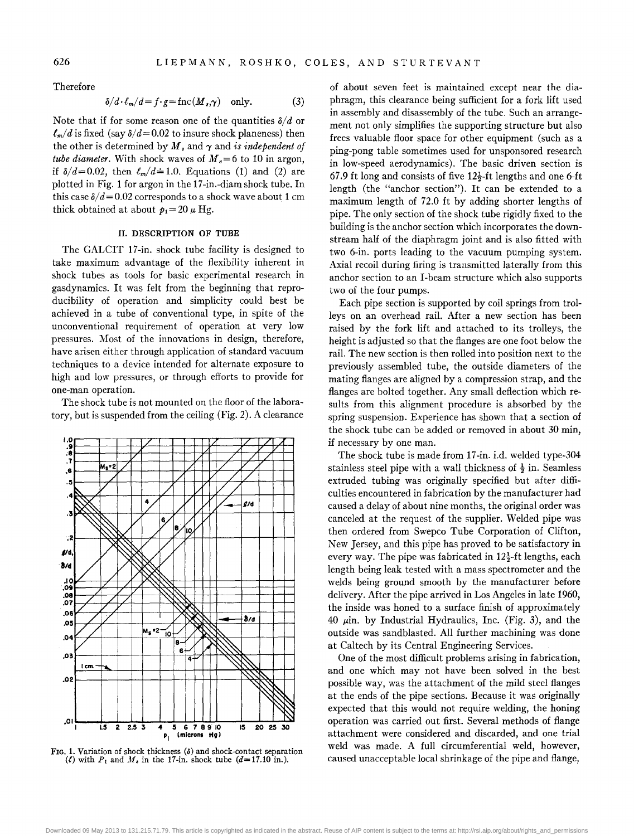Therefore

$$
\delta/d \cdot \ell_m/d = f \cdot g = \text{fnc}(M_s, \gamma) \quad \text{only.} \tag{3}
$$

Note that if for some reason one of the quantities  $\delta/d$  or  $\ell_m/d$  is fixed (say  $\delta/d = 0.02$  to insure shock planeness) then the other is determined by  $M_s$  and  $\gamma$  and *is independent of tube diameter.* With shock waves of  $M_s = 6$  to 10 in argon, if  $\delta/d = 0.02$ , then  $\ell_m/d = 1.0$ . Equations (1) and (2) are plotted in Fig. 1 for argon in the 17 -in.-diam shock tube. In this case  $\delta/d = 0.02$  corresponds to a shock wave about 1 cm thick obtained at about  $p_1 = 20 \mu$  Hg.

#### II. DESCRIPTION OF TUBE

The GALCIT 17-in. shock tube facility is designed to take maximum advantage of the flexibility inherent in shock tubes as tools for basic experimental research in gasdynamics. It was felt from the beginning that reproducibility of operation and simplicity could best be achieved in a tube of conventional type, in spite of the unconventional requirement of operation at very low pressures. Most of the innovations in design, therefore, have arisen either through application of standard vacuum techniques to a device intended for alternate exposure to high and low pressures, or through efforts to provide for one-man operation.

The shock tube is not mounted on the floor of the laboratory, but is suspended from the ceiling (Fig. 2). A clearance



FIG. 1. Variation of shock thickness  $(\delta)$  and shock-contact separation (*t*) with  $P_1$  and  $M_s$  in the 17-in. shock tube  $(d=17.10 \text{ in.})$ .

of about seven feet is maintained except near the diaphragm, this clearance being sufficient for a fork lift used in assembly and disassembly of the tube. Such an arrangement not only simplifies the supporting structure but also frees valuable floor space for other equipment (such as a ping-pong table sometimes used for unsponsored research in low-speed aerodynamics). The basic driven section is 67.9 ft long and consists of five  $12\frac{1}{2}$ -ft lengths and one 6-ft length (the "anchor section"). It can be extended to a maximum length of 72.0 ft by adding shorter lengths of pipe. The only section of the shock tube rigidly fixed to the building is the anchor section which incorporates the downstream half of the diaphragm joint and is also fitted with two 6-in. ports leading to the vacuum pumping system. Axial recoil during firing is transmitted laterally from this anchor section to an I-beam structure which also supports two of the four pumps.

Each pipe section is supported by coil springs from trolleys on an overhead rail. After a new section has been raised by the fork lift and attached to its trolleys, the height is adjusted so that the flanges are one foot below the rail. The new section is then rolled into position next to the previously assembled tube, the outside diameters of the mating flanges are aligned by a compression strap, and the flanges are bolted together. Any small deflection which results from this alignment procedure is absorbed by the spring suspension. Experience has shown that a section of the shock tube can be added or removed in about 30 min, if necessary by one man.

The shock tube is made from 17-in. i.d. welded type-304 stainless steel pipe with a wall thickness of  $\frac{1}{2}$  in. Seamless extruded tubing was originally specified but after difficulties encountered in fabrication by the manufacturer had caused a delay of about nine months, the original order was canceled at the request of the supplier. Welded pipe was then ordered from Swepco Tube Corporation of Clifton, New Jersey, and this pipe has proved to be satisfactory in every way. The pipe was fabricated in  $12\frac{1}{2}$ -ft lengths, each length being leak tested with a mass spectrometer and the welds being ground smooth by the manufacturer before delivery. After the pipe arrived in Los Angeles in late 1960, the inside was honed to a surface finish of approximately 40  $\mu$ in. by Industrial Hydraulics, Inc. (Fig. 3), and the outside was sandblasted. All further machining was done at Caltech by its Central Engineering Services.

One of the most difficult problems arising in fabrication, and one which may not have been solved in the best possible way, was the attachment of the mild steel flanges at the ends of the pipe sections. Because it was originally expected that this would not require welding, the honing operation was carried out first. Several methods of flange attachment were considered and discarded, and one trial weld was made. A full circumferential weld, however, caused unacceptable local shrinkage of the pipe and flange,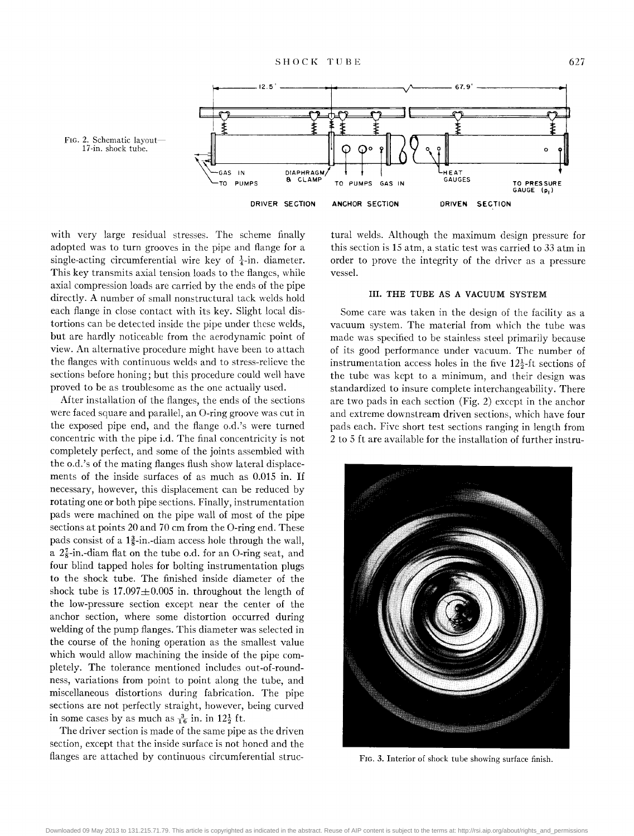

with very large residual stresses. The scheme finally adopted was to turn grooves in the pipe and flange for a single-acting circumferential wire key of  $\frac{1}{4}$ -in. diameter. This key transmits axial tension loads to the flanges, while axial compression loads are carried by the ends of the pipe directly. A number of small nonstructural tack welds hold each flange in close contact with its key. Slight local distortions can be detected inside the pipe under these welds, but are hardly noticeable from the aerodynamic point of view. An alternative procedure might have been to attach the flanges with continuous welds and to stress-relieve the sections before honing; but this procedure could well have proved to be as troublesome as the one actually used.

After installation of the flanges, the ends of the sections were faced square and parallel, an O-ring groove was cut in the exposed pipe end, and the flange o.d.'s were turned concentric with the pipe i.d. The final concentricity is not completely perfect, and some of the joints assembled with the o.d.'s of the mating flanges flush show lateral displacements of the inside surfaces of as much as 0.015 in. If necessary, however, this displacement can be reduced by rotating one or both pipe sections. Finally, instrumentation pads were machined on the pipe wall of most of the pipe sections at points 20 and 70 cm from the O-ring end. These pads consist of a  $1\frac{3}{8}$ -in.-diam access hole through the wall, a  $2\frac{7}{8}$ -in.-diam flat on the tube o.d. for an O-ring seat, and four blind tapped holes for bolting instrumentation plugs to the shock tube. The finished inside diameter of the shock tube is  $17.097 \pm 0.005$  in. throughout the length of the low-pressure section except near the center of the anchor section, where some distortion occurred during welding of the pump flanges. This diameter was selected in the course of the honing operation as the smallest value which would allow machining the inside of the pipe completely. The tolerance mentioned includes out-of-roundness, variations from point to point along the tube, and miscellaneous distortions during fabrication. The pipe sections are not perfectly straight, however, being curved in some cases by as much as  $\frac{3}{16}$  in. in  $12\frac{1}{2}$  ft.

The driver section is made of the same pipe as the driven section, except that the inside surface is not honed and the flanges are attached by continuous circumferential structural welds. Although the maximum design pressure for this section is 15 atm, a static test was carried to 33 atm in order to prove the integrity of the driver as a pressure vessel.

#### III. THE TUBE AS A VACUUM SYSTEM

Some care was taken in the design of the facility as a vacuum system. The material from which the tube was made was specified to be stainless steel primarily because of its good performance under vacuum. The number of instrumentation access holes in the five  $12\frac{1}{2}$ -ft sections of the tube was kept to a minimum, and their design was standardized to insure complete interchangeability. There are two pads in each section (Fig. 2) except in the anchor and extreme downstream driven sections, which have four pads each. Five short test sections ranging in length from 2 to 5 ft are available for the installation of further instru-



FIG. 3. Interior of shock tube showing surface finish.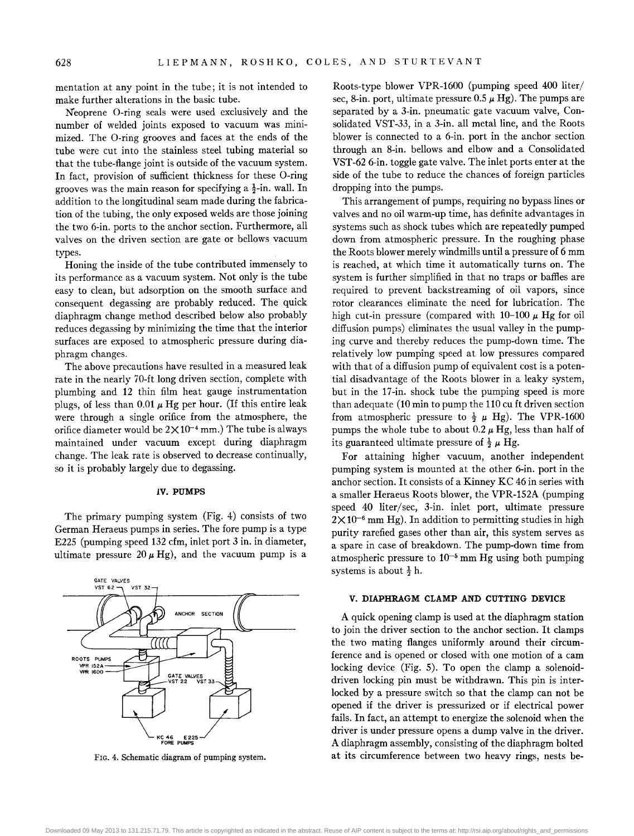mentation at any point in the tube; it is not intended to make further alterations in the basic tube.

N'eoprene O-ring seals were used exclusively and the number of welded joints exposed to vacuum was minimized. The O-ring grooves and faces at the ends of the tube were cut into the stainless steel tubing material so that the tube-flange joint is outside of the vacuum system. In fact, provision of sufficient thickness for these O-ring grooves was the main reason for specifying a  $\frac{1}{2}$ -in. wall. In addition to the longitudinal seam made during the fabrication of the tubing, the only exposed welds are those joining the two 6-in. ports to the anchor section. Furthermore, all valves on the driven section are gate or bellows vacuum types.

Honing the inside of the tube contributed immensely to its performance as a vacuum system. Not only is the tube easy to clean, but adsorption on the smooth surface and consequent degassing are probably reduced. The quick diaphragm change method described below also probably reduces degassing by minimizing the time that the interior surfaces are exposed to atmospheric pressure during diaphragm changes.

The above precautions have resulted in a measured leak rate in the nearly 70-ft long driven section, complete with plumbing and 12 thin film heat gauge instrumentation plugs, of less than 0.01  $\mu$  Hg per hour. (If this entire leak were through a single orifice from the atmosphere, the orifice diameter would be  $2 \times 10^{-4}$  mm.) The tube is always maintained under vacuum except during diaphragm change. The leak rate is observed to decrease continually, so it is probably largely due to degassing.

#### IV. PUMPS

The primary pumping system (Fig. 4) consists of two German Heraeus pumps in series. The fore pump is a type E225 (pumping speed 132 cfm, inlet port 3 in. in diameter, ultimate pressure  $20 \mu$  Hg), and the vacuum pump is a



FIG. 4. Schematic diagram of pumping system.

Roots-type blower VPR-1600 (pumping speed 400 liter/ sec, 8-in. port, ultimate pressure  $0.5 \mu$  Hg). The pumps are separated by a 3-in. pneumatic gate vacuum valve, Consolidated VST-33, in a 3-in. all metal line, and the Roots blower is connected to a 6-in. port in the anchor section through an 8-in. bellows and elbow and a Consolidated VST-62 6-in. toggle gate valve. The inlet ports enter at the side of the tube to reduce the chances of foreign particles dropping into the pumps.

This arrangement of pumps, requiring no bypass lines or valves and no oil warm-up time, has definite advantages in systems such as shock tubes which are repeatedly pumped down from atmospheric pressure. In the roughing phase the Roots blower merely windmills until a pressure of 6 mm is reached, at which time it automatically turns on. The system is further simplified in that no traps or baffles are required to prevent backstreaming of oil vapors, since rotor clearances eliminate the need for lubrication. The high cut-in pressure (compared with  $10-100 \mu$  Hg for oil diffusion pumps) eliminates the usual valley in the pumping curve and thereby reduces the pump-down time. The relatively low pumping speed at low pressures compared with that of a diffusion pump of equivalent cost is a potential disadvantage of the Roots blower in a leaky system, but in the 17-in. shock tube the pumping speed is more than adequate (10 min to pump the 110 cu ft driven section from atmospheric pressure to  $\frac{1}{2}$   $\mu$  Hg). The VPR-1600 pumps the whole tube to about 0.2  $\mu$  Hg, less than half of its guaranteed ultimate pressure of  $\frac{1}{2} \mu$  Hg.

For attaining higher vacuum, another independent pumping system is mounted at the other 6-in. port in the anchor section. It consists of a Kinney KC 46 in series with a smaller Heraeus Roots blower, the VPR-152A (pumping speed 40 liter/sec, 3-in. inlet port, ultimate pressure  $2 \times 10^{-6}$  mm Hg). In addition to permitting studies in high purity rarefied gases other than air, this system serves as a spare in case of breakdown. The pump-down time from atmospheric pressure to  $10^{-5}$  mm Hg using both pumping systems is about  $\frac{1}{2}$  h.

#### V. DIAPHRAGM CLAMP AND CUTTING DEVICE

A quick opening clamp is used at the diaphragm station to join the driver section to the anchor section. It clamps the two mating flanges uniformly around their circumference and is opened or closed with one motion of a cam locking device (Fig. 5). To open the clamp a solenoiddriven locking pin must be withdrawn. This pin is interlocked by a pressure switch so that the clamp can not be opened if the driver is pressurized or if electrical power fails. In fact, an attempt to energize the solenoid when the driver is under pressure opens a dump valve in the driver. A diaphragm assembly, consisting of the diaphragm bolted at its circumference between two heavy rings, nests be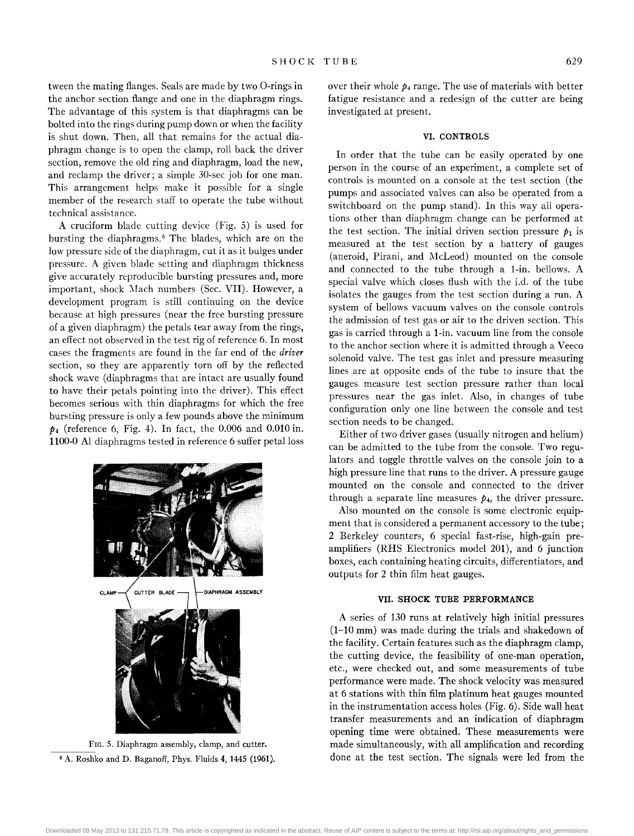tween the mating flanges. Seals are made by two O-rings in the anchor section flange and one in the diaphragm rings. The advantage of this system is that diaphragms can be bolted into the rings during pump down or when the facility is shut down. Then, all that remains for the actual diaphragm change is to open the clamp, roll back the driver section, remove the old ring and diaphragm, load the new, and reclamp the driver; a simple 30-sec job for one man. This arrangement helps make it possible for a single member of the research staff to operate the tube without technical assistance.

A cruciform blade cutting device (Fig. 5) is used for bursting the diaphragms.<sup>6</sup> The blades, which are on the low pressure side of the diaphragm, cut it as it bulges under pressure. A given blade setting and diaphragm thickness give accurately reproducible bursting pressures and, more important, shock Mach numbers (Sec. VII). However, a development program is still continuing on the device because at high pressures (near the free bursting pressure of a given diaphragm) the petals tear away from the rings, an effect not observed in the test rig of reference 6. In most cases the fragments are found in the far end of the *driver*  section, so they are apparently torn off by the reflected shock wave (diaphragms that are intact are usually found to have their petals pointing into the driver). This effect becomes serious with thin diaphragms for which the free bursting pressure is only a few pounds above the minimum *P4* (reference 6, Fig. 4). In fact, the 0.006 and 0.010 in. 1100-0 Al diaphragms tested in reference 6 suffer petal loss



FIG. 5. Diaphragm assembly, clamp, and cutter. 6 A. Roshko and D. Baganoff, Phys. Fluids 4, 1445 (1961).

over their whole  $p_4$  range. The use of materials with better fatigue resistance and a redesign of the cutter are being investigated at present.

#### VI. CONTROLS

In order that the tube can be easily operated by one person in the course of an experiment, a complete set of controls is mounted on a console at the test section (the pumps and associated valves can also be operated from a switchboard on the pump stand). In this way all operations other than diaphragm change can be performed at the test section. The initial driven section pressure  $p_1$  is measured at the test section by a battery of gauges (aneroid, Pirani, and McLeod) mounted on the console and connected to the tube through a I-in. bellows. A special valve which closes flush with the i.d. of the tube isolates the gauges from the test section during a run. A system of bellows vacuum valves on the console controls the admission of test gas or air to the driven section. This gas is carried through a I-in. vacuum line from the console to the anchor section where it is admitted through a Veeco solenoid valve. The test gas inlet and pressure measuring lines are at opposite ends of the tube to insure that the gauges measure test section pressure rather than local pressures near the gas inlet. Also, in changes of tube configuration only one line between the console and test section needs to be changed.

Either of two driver gases (usually nitrogen and helium) can be admitted to the tube from the console. Two regulators and toggle throttle valves on the console join to a high pressure line that runs to the driver. A pressure gauge mounted on the console and connected to the driver through a separate line measures  $p_4$ , the driver pressure.

Also mounted on the console is some electronic equipment that is considered a permanent accessory to the tube; 2 Berkeley counters, 6 special fast-rise, high-gain preamplifiers (RHS Electronics model 201), and 6 junction boxes, each containing heating circuits, differentiators, and outputs for 2 thin film heat gauges.

#### VII. SHOCK TUBE PERFORMANCE

A series of 130 runs at relatively high initial pressures (1-10 mm) was made during the trials and shakedown of the facility. Certain features such as the diaphragm clamp, the cutting device, the feasibility of one-man operation, etc., were checked out, and some measurements of tube performance were made. The shock velocity was measured at 6 stations with thin film platinum heat gauges mounted in the instrumentation access holes (Fig. 6). Side wall heat transfer measurements and an indication of diaphragm opening time were obtained. These measurements were made simultaneously, with all amplification and recording done at the test section. The signals were led from the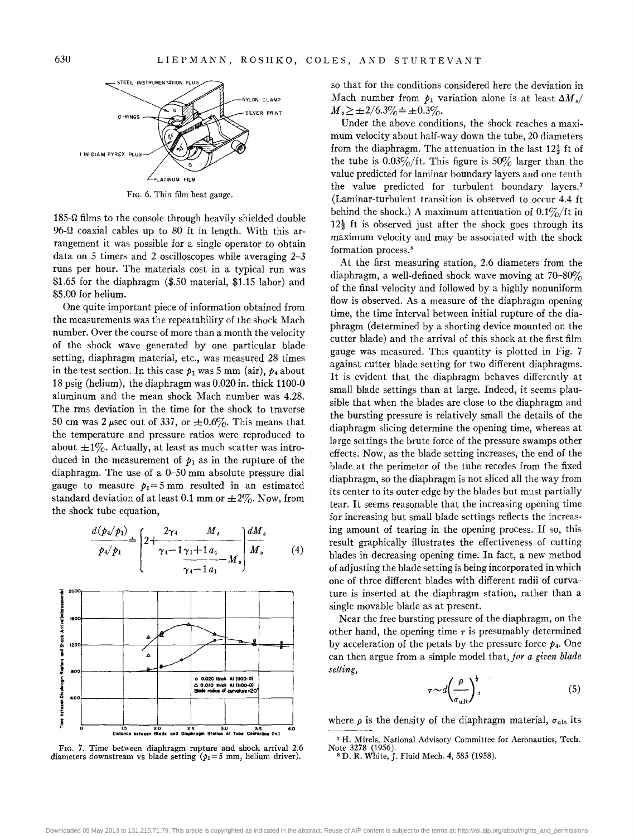

FIG. 6. Thin film heat gauge.

 $185-\Omega$  films to the console through heavily shielded double 96- $\Omega$  coaxial cables up to 80 ft in length. With this arrangement it was possible for a single operator to obtain data on 5 timers and 2 oscilloscopes while averaging 2-3 runs per hour. The materials cost in a typical run was \$1.65 for the diaphragm (\$.50 material, \$1.15 labor) and \$5.00 for helium.

One quite important piece of information obtained from the measurements was the repeatability of the shock Mach number. Over the course of more than a month the velocity of the shock wave generated by one particular blade setting, diaphragm material, etc., was measured 28 times in the test section. In this case  $p_1$  was 5 mm (air),  $p_4$  about 18 psig (helium), the diaphragm was 0.020 in. thick 1100-0 aluminum and the mean shock Mach number was 4.28. The rms deviation in the time for the shock to traverse 50 cm was 2  $\mu$ sec out of 337, or  $\pm 0.6\%$ . This means that the temperature and pressure ratios were reproduced to about  $\pm 1\%$ . Actually, at least as much scatter was introduced in the measurement of  $p_1$  as in the rupture of the diaphragm. The use of a  $0-50$  mm absolute pressure dial gauge to measure  $p_1 = 5$  mm resulted in an estimated standard deviation of at least 0.1 mm or  $\pm 2\%$ . Now, from the shock tube equation,

$$
\frac{d(p_4/p_1)}{p_4/p_1} = \left[2 + \frac{2\gamma_4}{\gamma_4 - 1} \frac{M_s}{\gamma_1 + 1} \frac{dM_s}{a_4 - M_s}\right] \frac{dM_s}{M_s}
$$
(4)



FIG. 7. Time between diaphragm rupture and shock arrival 2.6 diameters downstream vs blade setting ( $p_1 = 5$  mm, helium driver).

so that for the conditions considered here the deviation in Mach number from  $p_1$  variation alone is at least  $\Delta M_s$  $M_{s} \ge \pm 2/6.3\% \doteq \pm 0.3\%.$ 

Under the above conditions, the shock reaches a maximum velocity about half-way down the tube, 20 diameters from the diaphragm. The attenuation in the last  $12\frac{1}{2}$  ft of the tube is  $0.03\%/$ ft. This figure is  $50\%$  larger than the value predicted for laminar boundary layers and one tenth the value predicted for turbulent boundary layers.<sup>7</sup> (Laminar-turbulent transition is observed to occur 4.4 ft behind the shock.) A maximum attenuation of  $0.1\%/$ ft in  $12\frac{1}{2}$  ft is observed just after the shock goes through its maximum velocity and may be associated with the shock formation process. 8

At the first measuring station, 2.6 diameters from the diaphragm, a well-defined shock wave moving at  $70-80\%$ of the final velocity and followed by a highly nonuniform flow is observed. As a measure of the diaphragm opening time, the time interval between initial rupture of the diaphragm (determined by a shorting device mounted on the cutter blade) and the arrival of this shock at the first film gauge was measured. This quantity is plotted in Fig. 7 against cutter blade setting for two different diaphragms. It is evident that the diaphragm behaves differently at small blade settings than at large. Indeed, it seems plausible that when the blades are close to the diaphragm and the bursting pressure is relatively small the details of the diaphragm slicing determine the opening time, whereas at large settings the brute force of the pressure swamps other effects. Now, as the blade setting increases, the end of the blade at the perimeter of the tube recedes from the fixed diaphragm, so the diaphragm is not sliced all the way from its center to its outer edge by the blades but must partially tear. It seems reasonable that the increasing opening time for increasing but small blade settings reflects the increasing amount of tearing in the opening process. If so, this result graphically illustrates the effectiveness of cutting blades in decreasing opening time. In fact, a new method of adjusting the blade setting is being incorporated in which one of three different blades with different radii of curvature is inserted at the diaphragm station, rather than a single movable blade as at present.

Near the free bursting pressure of the diaphragm, on the other hand, the opening time  $\tau$  is presumably determined by acceleration of the petals by the pressure force  $p_4$ . One can then argue from a simple model that, *for a given blade setting,* 

$$
\tau \sim d \left(\frac{\rho}{\sigma_{\text{ult}}}\right)^{\frac{1}{2}},\tag{5}
$$

where  $\rho$  is the density of the diaphragm material,  $\sigma_{ult}$  its

<sup>7</sup> H. Mirels, National Advisory Committee for Aeronautics, Tech. Note 3278 (1956).<br>
<sup>8</sup> D. R. White, J. Fluid Mech. 4, 585 (1958).